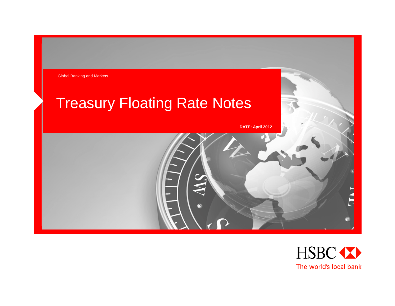

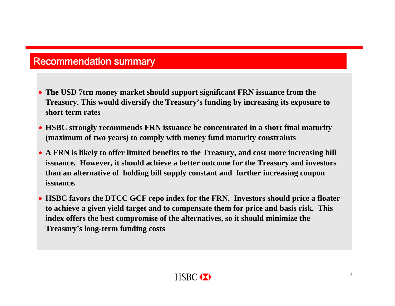## Recommendation summary

- **The USD 7trn money market should support significant FRN issuance from the Treasury. This would diversify the Treasury's funding by increasing its exposure to short term rates**
- **HSBC strongly recommends FRN issuance be concentrated in a short final maturity (maximum of two years) to comply with money fund maturity constraints**
- **A FRN is likely to offer limited benefits to the Treasury, and cost more increasing bill issuance. However, it should achieve a better outcome for the Treasury and investors than an alternative of holding bill supply constant and further increasing coupon issuance.**
- **HSBC favors the DTCC GCF repo index for the FRN. Investors should price a floater to achieve a given yield target and to compensate them for price and basis risk. This index offers the best compromise of the alternatives, so it should minimize the Treasury's long-term funding costs**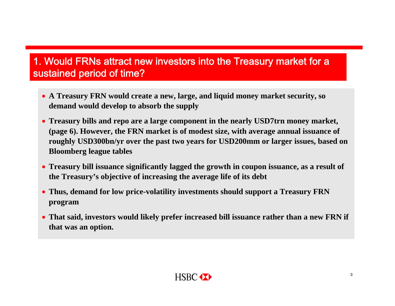## 1. Would FRNs attract new investors into the Treasury market for <sup>a</sup> sustained period of time?

- **A Treasury FRN would create a new, large, and liquid money market security, so demand would develop to absorb the supply**
- **Treasury bills and repo are a large component in the nearly USD7trn money market, (page 6). However, the FRN market is of modest size, with average annual issuance of roughly USD300bn/yr over the past two years for USD200mm or larger issues, based on Bloomberg league tables**
- **Treasury bill issuance significantly lagged the growth in coupon issuance, as a result of the Treasury's objective of increasing the average life of its debt**
- **Thus, demand for low price-volatility investments should support a Treasury FRN program**
- **That said, investors would likely prefer increased bill issuance rather than a new FRN if that was an option.**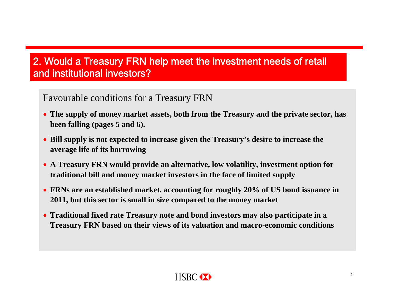### Favourable conditions for a Treasury FRN

- **The supply of money market assets, both from the Treasury and the private sector, has been falling (pages 5 and 6).**
- **Bill supply is not expected to increase given the Treasury's desire to increase the average life of its borrowing**
- **A Treasury FRN would provide an alternative, low volatility, investment option for traditional bill and money market investors in the face of limited supply**
- **FRNs are an established market, accounting for roughly 20% of US bond issuance in 2011, but this sector is small in size compared to the money market**
- **Traditional fixed rate Treasury note and bond investors may also participate in a Treasury FRN based on their views of its valuation and macro-economic conditions**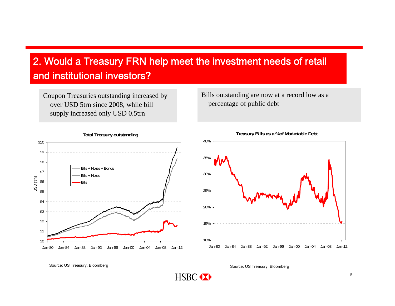HSBC <>>

Coupon Treasuries outstanding increased by over USD 5trn since 2008, while bill supply increased only USD 0.5trn

Bills outstanding are now at a record low as a percentage of public debt





**Total Treasury outstanding**

**Treasury Bills as a %of Marketable Debt**

Source: US Treasury, Bloomberg Source: US Treasury, Bloomberg Source: US Treasury, Bloomberg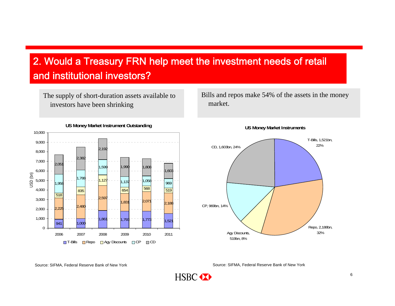The supply of short-duration assets available to investors have been shrinking

Bills and repos make 54% of the assets in the money market.





Source: SIFMA, Federal Reserve Bank of New York Source: SIFMA, Federal Reserve Bank of New York

HSBC <>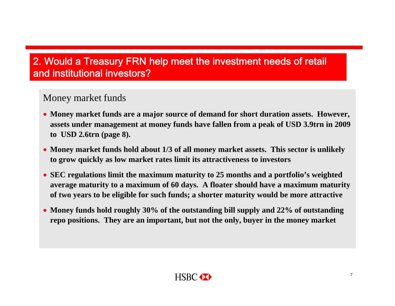Money market funds

- **Money market funds are a major source of demand for short duration assets. However, assets under management at money funds have fallen from a peak of USD 3.9trn in 2009 to USD 2.6trn (page 8).**
- **Money market funds hold about 1/3 of all money market assets. This sector is unlikely to grow quickly as low market rates limit its attractiveness to investors**
- **SEC regulations limit the maximum maturity to 25 months and a portfolio's weighted average maturity to a maximum of 60 days. A floater should have a maximum maturity of two years to be eligible for such funds; a shorter maturity would be more attractive**
- **Money funds hold roughly 30% of the outstanding bill supply and 22% of outstanding repo positions. They are an important, but not the only, buyer in the money market**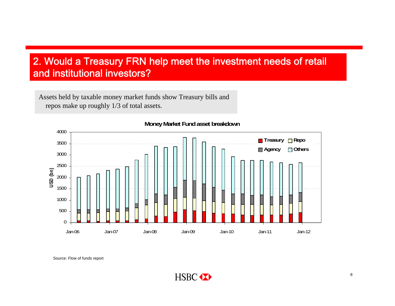Assets held by taxable money market funds show Treasury bills and repos make up roughly 1/3 of total assets.



**Money Market Fund asset breakdown**

Source: Flow of funds report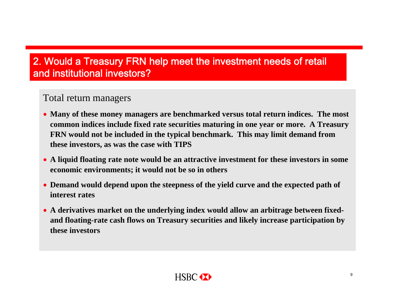#### Total return managers

- **Many of these money managers are benchmarked versus total return indices. The most common indices include fixed rate securities maturing in one year or more. A Treasury FRN would not be included in the typical benchmark. This may limit demand from these investors, as was the case with TIPS**
- **A liquid floating rate note would be an attractive investment for these investors in some economic environments; it would not be so in others**
- **Demand would depend upon the steepness of the yield curve and the expected path of interest rates**
- **A derivatives market on the underlying index would allow an arbitrage between fixedand floating-rate cash flows on Treasury securities and likely increase participation by these investors**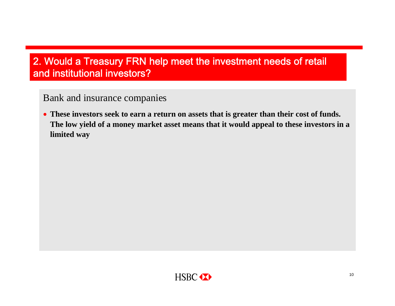Bank and insurance companies

 **These investors seek to earn a return on assets that is greater than their cost of funds. The low yield of a money market asset means that it would appeal to these investors in a limited way**

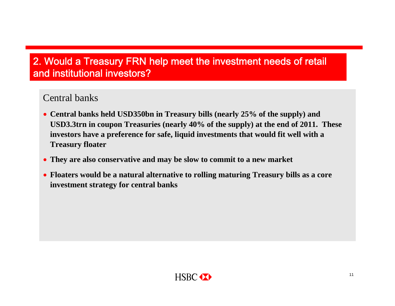#### Central banks

- **Central banks held USD350bn in Treasury bills (nearly 25% of the supply) and USD3.3trn in coupon Treasuries (nearly 40% of the supply) at the end of 2011. These investors have a preference for safe, liquid investments that would fit well with a Treasury floater**
- **They are also conservative and may be slow to commit to a new market**
- **Floaters would be a natural alternative to rolling maturing Treasury bills as a core investment strategy for central banks**

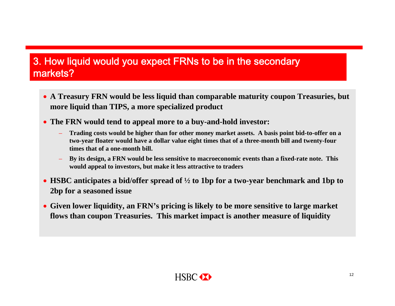## 3. How liquid would you expect FRNs to be in the secondary markets?

- **A Treasury FRN would be less liquid than comparable maturity coupon Treasuries, but more liquid than TIPS, a more specialized product**
- **The FRN would tend to appeal more to a buy-and-hold investor:**
	- **Trading costs would be higher than for other money market assets. A basis point bid-to-offer on a two-year floater would have a dollar value eight times that of a three-month bill and twenty-four times that of a one-month bill.**
	- **By its design, a FRN would be less sensitive to macroeconomic events than a fixed-rate note. This would appeal to investors, but make it less attractive to traders**
- **HSBC anticipates a bid/offer spread of ½ to 1bp for a two-year benchmark and 1bp to 2bp for a seasoned issue**
- **Given lower liquidity, an FRN's pricing is likely to be more sensitive to large market flows than coupon Treasuries. This market impact is another measure of liquidity**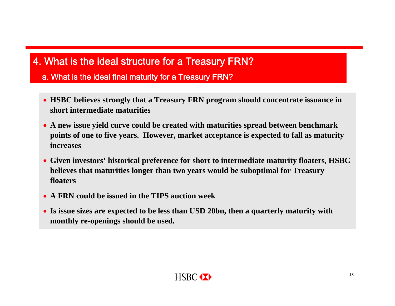a. What is the ideal final maturity for a Treasury FRN?

- **HSBC believes strongly that a Treasury FRN program should concentrate issuance in short intermediate maturities**
- **A new issue yield curve could be created with maturities spread between benchmark points of one to five years. However, market acceptance is expected to fall as maturity increases**
- **Given investors' historical preference for short to intermediate maturity floaters, HSBC believes that maturities longer than two years would be suboptimal for Treasury floaters**
- **A FRN could be issued in the TIPS auction week**
- **Is issue sizes are expected to be less than USD 20bn, then a quarterly maturity with monthly re-openings should be used.**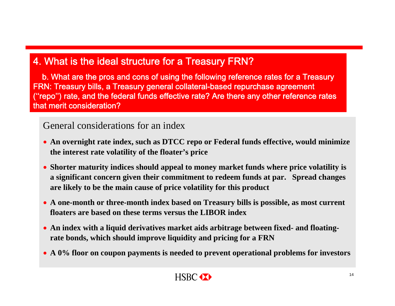b. What are the pros and cons of using the following reference rates for a Treasury FRN: Treasury bills, a Treasury general collateral-based repurchase agreement (''repo'') rate, and the federal funds effective rate? Are there any other reference rates that merit consideration?

#### General considerations for an index

- **An overnight rate index, such as DTCC repo or Federal funds effective, would minimize the interest rate volatility of the floater's price**
- **Shorter maturity indices should appeal to money market funds where price volatility is a significant concern given their commitment to redeem funds at par. Spread changes are likely to be the main cause of price volatility for this product**
- **A one-month or three-month index based on Treasury bills is possible, as most current floaters are based on these terms versus the LIBOR index**
- **An index with a liquid derivatives market aids arbitrage between fixed- and floatingrate bonds, which should improve liquidity and pricing for a FRN**
- **A 0% floor on coupon payments is needed to prevent operational problems for investors**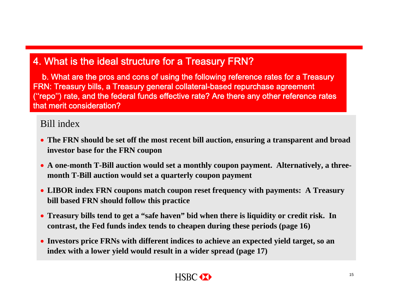b. What are the pros and cons of using the following reference rates for a Treasury FRN: Treasury bills, a Treasury general collateral-based repurchase agreement (''repo'') rate, and the federal funds effective rate? Are there any other reference rates that merit consideration?

### Bill index

- **The FRN should be set off the most recent bill auction, ensuring a transparent and broad investor base for the FRN coupon**
- A one-month T-Bill auction would set a monthly coupon payment. Alternatively, a three**month T-Bill auction would set a quarterly coupon payment**
- **LIBOR index FRN coupons match coupon reset frequency with payments: A Treasury bill based FRN should follow this practice**
- **Treasury bills tend to get a "safe haven" bid when there is liquidity or credit risk. In contrast, the Fed funds index tends to cheapen during these periods (page 16)**
- **Investors price FRNs with different indices to achieve an expected yield target, so an index with a lower yield would result in a wider spread (page 17)**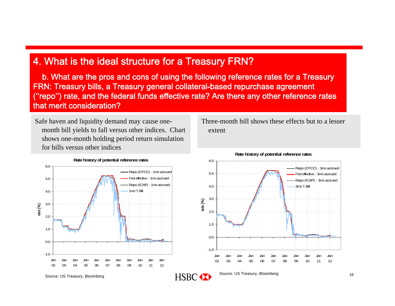b. What are the pros and cons of using the following reference rates for a Treasury FRN: Treasury bills, a Treasury general collateral-based repurchase agreement (''repo'') rate, and the federal funds effective rate? Are there any other reference rates that merit consideration?

Safe haven and liquidity demand may cause onemonth bill yields to fall versus other indices. Chart shows one-month holding period return simulation for bills versus other indices



**Rate history of potential reference rates**

Three-month bill shows these effects but to a lesser extent



Source: US Treasury, Bloomberg **Source: US Treasury, Bloomberg** Source: US Treasury, Bloomberg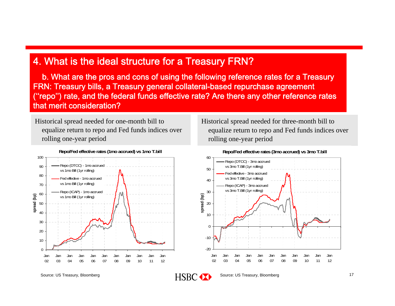b. What are the pros and cons of using the following reference rates for a Treasury FRN: Treasury bills, a Treasury general collateral-based repurchase agreement (''repo'') rate, and the federal funds effective rate? Are there any other reference rates that merit consideration?

Historical spread needed for one-month bill to equalize return to repo and Fed funds indices over rolling one-year period



Historical spread needed for three-month bill to equalize return to repo and Fed funds indices over rolling one-year period



Source: US Treasury, Bloomberg **Source: US Treasury, Bloomberg** Source: US Treasury, Bloomberg

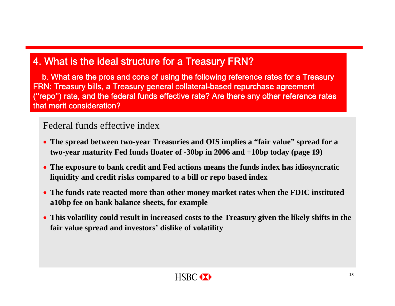b. What are the pros and cons of using the following reference rates for a Treasury FRN: Treasury bills, a Treasury general collateral-based repurchase agreement (''repo'') rate, and the federal funds effective rate? Are there any other reference rates that merit consideration?

#### Federal funds effective index

- **The spread between two-year Treasuries and OIS implies a "fair value" spread for a two-year maturity Fed funds floater of -30bp in 2006 and +10bp today (page 19)**
- **The exposure to bank credit and Fed actions means the funds index has idiosyncratic liquidity and credit risks compared to a bill or repo based index**
- **The funds rate reacted more than other money market rates when the FDIC instituted a10bp fee on bank balance sheets, for example**
- **This volatility could result in increased costs to the Treasury given the likely shifts in the fair value spread and investors' dislike of volatility**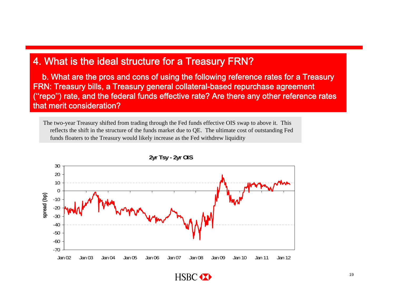b. What are the pros and cons of using the following reference rates for a Treasury FRN: Treasury bills, a Treasury general collateral-based repurchase agreement (''repo'') rate, and the federal funds effective rate? Are there any other reference rates that merit consideration?

The two-year Treasury shifted from trading through the Fed funds effective OIS swap to above it. This reflects the shift in the structure of the funds market due to QE. The ultimate cost of outstanding Fed funds floaters to the Treasury would likely increase as the Fed withdrew liquidity



**2yr Tsy - 2yr OIS**

HSBC <>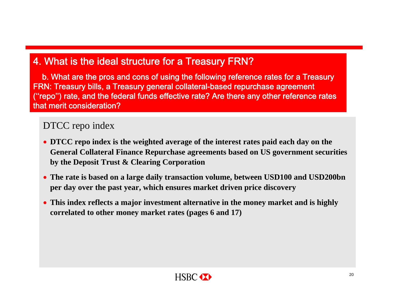b. What are the pros and cons of using the following reference rates for a Treasury FRN: Treasury bills, a Treasury general collateral-based repurchase agreement (''repo'') rate, and the federal funds effective rate? Are there any other reference rates that merit consideration?

#### DTCC repo index

- **DTCC repo index is the weighted average of the interest rates paid each day on the General Collateral Finance Repurchase agreements based on US government securities by the Deposit Trust & Clearing Corporation**
- **The rate is based on a large daily transaction volume, between USD100 and USD200bn per day over the past year, which ensures market driven price discovery**
- **This index reflects a major investment alternative in the money market and is highly correlated to other money market rates (pages 6 and 17)**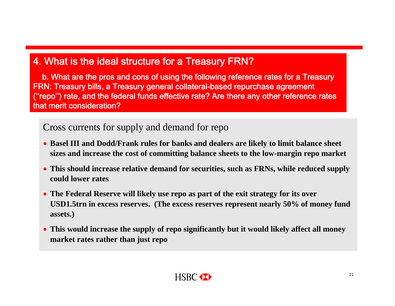b. What are the pros and cons of using the following reference rates for a Treasury FRN: Treasury bills, a Treasury general collateral-based repurchase agreement (''repo'') rate, and the federal funds effective rate? Are there any other reference rates that merit consideration?

#### Cross currents for supply and demand for repo

- **Basel III and Dodd/Frank rules for banks and dealers are likely to limit balance sheet sizes and increase the cost of committing balance sheets to the low-margin repo market**
- **This should increase relative demand for securities, such as FRNs, while reduced supply could lower rates**
- **The Federal Reserve will likely use repo as part of the exit strategy for its over USD1.5trn in excess reserves. (The excess reserves represent nearly 50% of money fund assets.)**
- **This would increase the supply of repo significantly but it would likely affect all money market rates rather than just repo**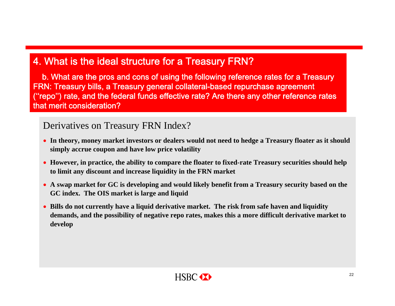b. What are the pros and cons of using the following reference rates for a Treasury FRN: Treasury bills, a Treasury general collateral-based repurchase agreement (''repo'') rate, and the federal funds effective rate? Are there any other reference rates that merit consideration?

#### Derivatives on Treasury FRN Index?

- **In theory, money market investors or dealers would not need to hedge a Treasury floater as it should simply accrue coupon and have low price volatility**
- **However, in practice, the ability to compare the floater to fixed-rate Treasury securities should help to limit any discount and increase liquidity in the FRN market**
- **A swap market for GC is developing and would likely benefit from a Treasury security based on the GC index. The OIS market is large and liquid**
- **Bills do not currently have a liquid derivative market. The risk from safe haven and liquidity demands, and the possibility of negative repo rates, makes this a more difficult derivative market to develop**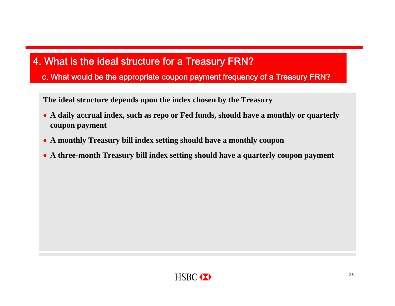c. What would be the appropriate coupon payment frequency of a Treasury FRN?

**The ideal structure depends upon the index chosen by the Treasury**

- **A daily accrual index, such as repo or Fed funds, should have a monthly or quarterly coupon payment**
- **A monthly Treasury bill index setting should have a monthly coupon**
- **A three-month Treasury bill index setting should have a quarterly coupon payment**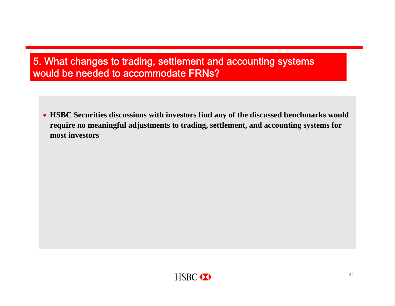## 5. What changes to trading, settlement and accounting systems would be needed to accommodate FRNs?

 **HSBC Securities discussions with investors find any of the discussed benchmarks would require no meaningful adjustments to trading, settlement, and accounting systems for most investors**

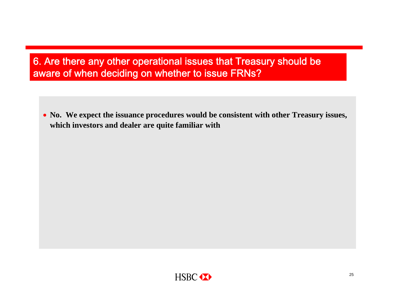## 6. Are there any other operational issues that Treasury should be aware of when deciding on whether to issue FRNs?

 **No. We expect the issuance procedures would be consistent with other Treasury issues, which investors and dealer are quite familiar with**